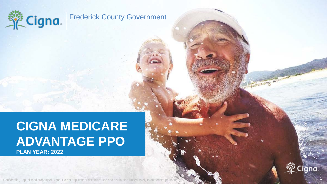

New York

# **CIGNA MEDICARE ADVANTAGE PPO PLAN YEAR: 2022**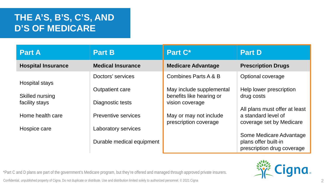### **THE A'S, B'S, C'S, AND D'S OF MEDICARE**

| <b>Part A</b>             | <b>Part B</b>             | Part C <sup>*</sup>                                  | <b>Part D</b>                                                                    |
|---------------------------|---------------------------|------------------------------------------------------|----------------------------------------------------------------------------------|
| <b>Hospital Insurance</b> | <b>Medical Insurance</b>  | <b>Medicare Advantage</b>                            | <b>Prescription Drugs</b>                                                        |
| Hospital stays            | Doctors' services         | Combines Parts A & B                                 | Optional coverage                                                                |
| Skilled nursing           | Outpatient care           | May include supplemental<br>benefits like hearing or | Help lower prescription<br>drug costs                                            |
| facility stays            | Diagnostic tests          | vision coverage                                      |                                                                                  |
| Home health care          | Preventive services       | May or may not include<br>prescription coverage      | All plans must offer at least<br>a standard level of<br>coverage set by Medicare |
| Hospice care              | Laboratory services       |                                                      |                                                                                  |
|                           | Durable medical equipment |                                                      | Some Medicare Advantage<br>plans offer built-in<br>prescription drug coverage    |



\*Part C and D plans are part of the government's Medicare program, but they're offered and managed through approved private insurers. Confidential, unpublished property of Cigna. Do not duplicate or distribute. Use and distribution limited solely to authorized personnel. © 2021 Cigna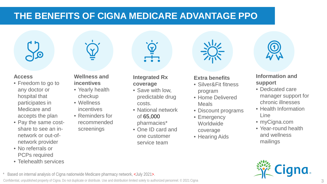### **THE BENEFITS OF CIGNA MEDICARE ADVANTAGE PPO**



#### **Access**

- Freedom to go to any doctor or hospital that participates in Medicare and accepts the plan
- Pay the same costshare to see an innetwork or out-ofnetwork provider
- No referrals or PCPs required
- Telehealth services



#### **Wellness and incentives**

- Yearly health checkup
- Wellness incentives
- Reminders for recommended screenings

#### **Integrated Rx coverage**

- Save with low, predictable drug costs.
- National network of 65,000 pharmacies\*
- One ID card and one customer service team

#### **Extra benefits**

- Silver&Fit fitness program
- Home Delivered Meals
- Discount programs
- Emergency **Worldwide**
- coverage
- Hearing Aids



#### **Information and support**

- Dedicated care manager support for chronic illnesses
- Health Information Line
- myCigna.com
- Year-round health and wellness mailings



Based on internal analysis of Cigna nationwide Medicare pharmacy network, <July 2021>.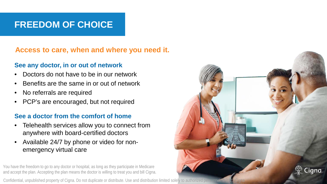### **FREEDOM OF CHOICE**

**Access to care, when and where you need it.**

#### **See any doctor, in or out of network**

- Doctors do not have to be in our network
- Benefits are the same in or out of network
- No referrals are required
- PCP's are encouraged, but not required

#### **See a doctor from the comfort of home**

- Telehealth services allow you to connect from anywhere with board-certified doctors
- Available 24/7 by phone or video for nonemergency virtual care

You have the freedom to go to any doctor or hospital, as long as they participate in Medicare and accept the plan. Accepting the plan means the doctor is willing to treat you and bill Cigna.

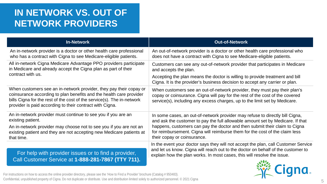### **IN NETWORK VS. OUT OF NETWORK PROVIDERS**

| <b>In-Network</b>                                                                                                                                                                                                                                                               | <b>Out-of-Network</b>                                                                                                                                                                                                                                                                                                                                      |
|---------------------------------------------------------------------------------------------------------------------------------------------------------------------------------------------------------------------------------------------------------------------------------|------------------------------------------------------------------------------------------------------------------------------------------------------------------------------------------------------------------------------------------------------------------------------------------------------------------------------------------------------------|
| An in-network provider is a doctor or other health care professional<br>who has a contract with Cigna to see Medicare-eligible patients.                                                                                                                                        | An out-of-network provider is a doctor or other health care professional who<br>does not have a contract with Cigna to see Medicare-eligible patients.                                                                                                                                                                                                     |
| All in-network Cigna Medicare Advantage PPO providers participate<br>in Medicare and already accept the Cigna plan as part of their<br>contract with us.                                                                                                                        | Customers can see any out-of-network provider that participates in Medicare<br>and accepts the plan.<br>Accepting the plan means the doctor is willing to provide treatment and bill<br>Cigna. It is the provider's business decision to accept any carrier or plan.                                                                                       |
| When customers see an in-network provider, they pay their copay or<br>coinsurance according to plan benefits and the health care provider<br>bills Cigna for the rest of the cost of the service(s). The in-network<br>provider is paid according to their contract with Cigna. | When customers see an out-of-network provider, they must pay their plan's<br>copay or coinsurance. Cigna will pay for the rest of the cost of the covered<br>service(s), including any excess charges, up to the limit set by Medicare.                                                                                                                    |
| An in-network provider must continue to see you if you are an<br>existing patient.<br>An in-network provider may choose not to see you if you are not an<br>existing patient and they are not accepting new Medicare patients at<br>that time.                                  | In some cases, an out-of-network provider may refuse to directly bill Cigna,<br>and ask the customer to pay the full allowable amount set by Medicare. If that<br>happens, customers can pay the doctor and then submit their claim to Cigna<br>for reimbursement. Cigna will reimburse them for the cost of the claim less<br>their copay or coinsurance. |
| For help with provider issues or to find a provider,<br>Call Customer Service at 1-888-281-7867 (TTY 711).                                                                                                                                                                      | In the event your doctor says they will not accept the plan, call Customer Service<br>and let us know. Cigna will reach out to the doctor on behalf of the customer to<br>explain how the plan works. In most cases, this will resolve the issue.                                                                                                          |



For instructions on how to access the online provider directory, please see the 'How to Find a Provider' brochure (Catalog # 950483).<br>Confidential, unpublished property of Cigna. Do not duplicate or distribute. Use and dis For instructions on how to access the online provider directory, please see the 'How to Find a Provider' brochure (Catalog # 950483).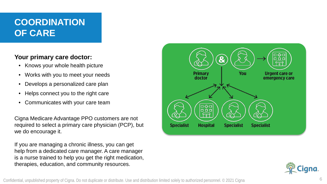### **COORDINATION OF CARE**

#### **Your primary care doctor:**

- Knows your whole health picture
- Works with you to meet your needs
- Develops a personalized care plan
- Helps connect you to the right care
- Communicates with your care team

Cigna Medicare Advantage PPO customers are not required to select a primary care physician (PCP), but we do encourage it.

If you are managing a chronic illness, you can get help from a dedicated care manager. A care manager is a nurse trained to help you get the right medication, therapies, education, and community resources.



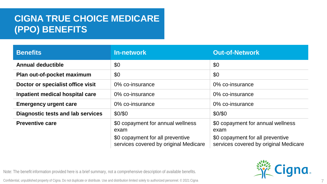## **CIGNA TRUE CHOICE MEDICARE (PPO) BENEFITS**

| <b>Benefits</b>                   | <b>In-network</b>                                                                                                      | <b>Out-of-Network</b>                                                                                                  |
|-----------------------------------|------------------------------------------------------------------------------------------------------------------------|------------------------------------------------------------------------------------------------------------------------|
| <b>Annual deductible</b>          | \$0                                                                                                                    | \$0                                                                                                                    |
| Plan out-of-pocket maximum        | \$0                                                                                                                    | \$0                                                                                                                    |
| Doctor or specialist office visit | 0% co-insurance                                                                                                        | 0% co-insurance                                                                                                        |
| Inpatient medical hospital care   | 0% co-insurance                                                                                                        | 0% co-insurance                                                                                                        |
| <b>Emergency urgent care</b>      | 0% co-insurance                                                                                                        | 0% co-insurance                                                                                                        |
| Diagnostic tests and lab services | \$0/\$0                                                                                                                | \$0/\$0                                                                                                                |
| <b>Preventive care</b>            | \$0 copayment for annual wellness<br>exam<br>\$0 copayment for all preventive<br>services covered by original Medicare | \$0 copayment for annual wellness<br>exam<br>\$0 copayment for all preventive<br>services covered by original Medicare |

Note: The benefit information provided here is a brief summary, not a comprehensive description of available benefits.

Confidential, unpublished property of Cigna. Do not duplicate or distribute. Use and distribution limited solely to authorized personnel. © 2021 Cigna



7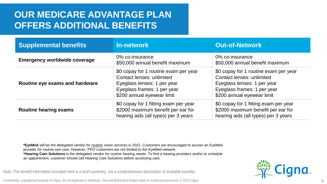### **OUR MEDICARE ADVANTAGE PLAN OFFERS ADDITIONAL BENEFITS**

| <b>Supplemental benefits</b>        | <b>In-network</b>                                                                                                                                              | <b>Out-of-Network</b>                                                                                                                                          |
|-------------------------------------|----------------------------------------------------------------------------------------------------------------------------------------------------------------|----------------------------------------------------------------------------------------------------------------------------------------------------------------|
| <b>Emergency worldwide coverage</b> | 0% co-insurance<br>\$50,000 annual benefit maximum                                                                                                             | 0% co-insurance<br>\$50,000 annual benefit maximum                                                                                                             |
| Routine eye exams and hardware      | \$0 copay for 1 routine exam per year<br>Contact lenses: unlimited<br>Eyeglass lenses: 1 per year<br>Eyeglass frames: 1 per year<br>\$200 annual eyewear limit | \$0 copay for 1 routine exam per year<br>Contact lenses: unlimited<br>Eyeglass lenses: 1 per year<br>Eyeglass frames: 1 per year<br>\$200 annual eyewear limit |
| <b>Routine hearing exams</b>        | \$0 copay for 1 fitting exam per year<br>\$2000 maximum benefit per ear for<br>hearing aids (all types) per 3 years                                            | \$0 copay for 1 fitting exam per year<br>\$2000 maximum benefit per ear for<br>hearing aids (all types) per 3 years                                            |

**\*EyeMed** will be the delegated vendor for routine vision services in 2022. Customers are encouraged to access an EyeMed provider for routine eye care. However, PPO customers are not limited to the EyeMed network. **\*Hearing Care Solutions** is the delegated vendor for routine hearing needs. To find a hearing providers and/or to schedule an appointment, customer should call Hearing Care Solutions before accessing care.

Note: The benefit information provided here is a brief summary, not a comprehensive description of available benefits.

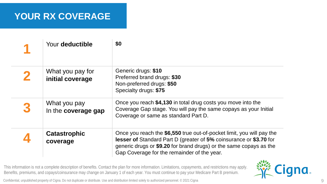### **YOUR RX COVERAGE**

| Your deductible                      | \$0                                                                                                                                                                                                                                                                     |
|--------------------------------------|-------------------------------------------------------------------------------------------------------------------------------------------------------------------------------------------------------------------------------------------------------------------------|
| What you pay for<br>initial coverage | Generic drugs: \$10<br>Preferred brand drugs: \$30<br>Non-preferred drugs: \$50<br>Specialty drugs: \$75                                                                                                                                                                |
| What you pay<br>In the coverage gap  | Once you reach \$4,130 in total drug costs you move into the<br>Coverage Gap stage. You will pay the same copays as your Initial<br>Coverage or same as standard Part D.                                                                                                |
| <b>Catastrophic</b><br>coverage      | Once you reach the \$6,550 true out-of-pocket limit, you will pay the<br><b>lesser of Standard Part D (greater of 5% coinsurance or \$3.70 for</b><br>generic drugs or \$9.20 for brand drugs) or the same copays as the<br>Gap Coverage for the remainder of the year. |

This information is not a complete description of benefits. Contact the plan for more information. Limitations, copayments, and restrictions may apply. Benefits, premiums, and copays/coinsurance may change on January 1 of each year. You must continue to pay your Medicare Part B premium. This information is not a complete description of benefits. Confact the plan for more information. Limitations, copayments, and restrictions may apply.<br>Benefits, premiums, and copays/coinsurance may change on January 1 of

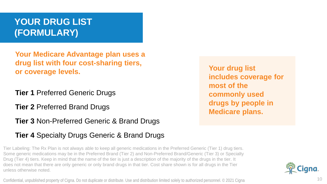### **YOUR DRUG LIST (FORMULARY)**

**Your Medicare Advantage plan uses a drug list with four cost-sharing tiers, or coverage levels.**

**Tier 1** Preferred Generic Drugs

**Tier 2** Preferred Brand Drugs

**Tier 3** Non-Preferred Generic & Brand Drugs

#### **Tier 4** Specialty Drugs Generic & Brand Drugs

Tier Labeling: The Rx Plan is not always able to keep all generic medications in the Preferred Generic (Tier 1) drug tiers. Some generic medications may be in the Preferred Brand (Tier 2) and Non-Preferred Brand/Generic (Tier 3) or Specialty Drug (Tier 4) tiers. Keep in mind that the name of the tier is just a description of the majority of the drugs in the tier. It does not mean that there are only generic or only brand drugs in that tier. Cost share shown is for all drugs in the Tier unless otherwise noted.

Confidential, unpublished property of Cigna. Do not duplicate or distribute. Use and distribution limited solely to authorized personnel.  $\degree$  2021 Cigna

**Your drug list includes coverage for most of the commonly used drugs by people in Medicare plans.**



10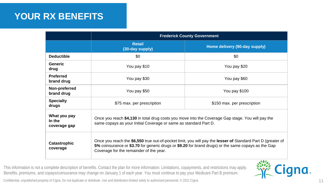### **YOUR RX BENEFITS**

|                                        | <b>Frederick County Government</b>                                                                                                                                                                                                                            |                               |  |
|----------------------------------------|---------------------------------------------------------------------------------------------------------------------------------------------------------------------------------------------------------------------------------------------------------------|-------------------------------|--|
|                                        | <b>Retail</b><br>(30-day supply)                                                                                                                                                                                                                              | Home delivery (90-day supply) |  |
| <b>Deductible</b>                      | \$0                                                                                                                                                                                                                                                           | \$0                           |  |
| Generic<br>drug                        | You pay \$10                                                                                                                                                                                                                                                  | You pay \$20                  |  |
| <b>Preferred</b><br>brand drug         | You pay \$30                                                                                                                                                                                                                                                  | You pay \$60                  |  |
| Non-preferred<br>brand drug            | You pay \$50                                                                                                                                                                                                                                                  | You pay \$100                 |  |
| <b>Specialty</b><br>drugs              | \$75 max. per prescription                                                                                                                                                                                                                                    | \$150 max. per prescription   |  |
| What you pay<br>In the<br>coverage gap | Once you reach \$4,130 in total drug costs you move into the Coverage Gap stage. You will pay the<br>same copays as your Initial Coverage or same as standard Part D.                                                                                         |                               |  |
| <b>Catastrophic</b><br>coverage        | Once you reach the \$6,550 true out-of-pocket limit, you will pay the lesser of Standard Part D (greater of<br>5% coinsurance or \$3.70 for generic drugs or \$9.20 for brand drugs) or the same copays as the Gap<br>Coverage for the remainder of the year. |                               |  |

This information is not a complete description of benefits. Contact the plan for more information. Limitations, copayments, and restrictions may apply. Benefits, premiums, and copays/coinsurance may change on January 1 of each year. You must continue to pay your Medicare Part B premium.

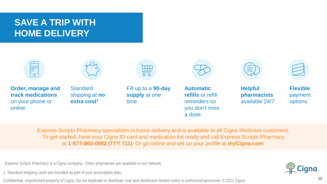### **SAVE A TRIP WITH HOME DELIVERY**



Express Scripts Pharmacy specializes in home delivery and is available to all Cigna Medicare customers. To get started, have your Cigna ID card and medication list ready and call Express Scripts Pharmacy at **1-877-860-0982 (TTY 711)**. Or go online and set up your profile at **myCigna.com**.

Express Scripts Pharmacy is a Cigna company. Other pharmacies are available in our network.

1. Standard shipping costs are included as part of your prescription plan.

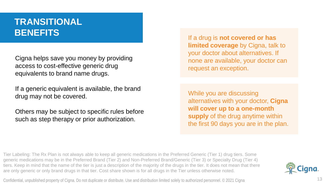### **TRANSITIONAL BENEFITS**

Cigna helps save you money by providing access to cost-effective generic drug equivalents to brand name drugs.

If a generic equivalent is available, the brand drug may not be covered.

Others may be subject to specific rules before such as step therapy or prior authorization.

If a drug is **not covered or has limited coverage** by Cigna, talk to your doctor about alternatives. If none are available, your doctor can request an exception.

While you are discussing alternatives with your doctor, **Cigna will cover up to a one-month supply** of the drug anytime within the first 90 days you are in the plan.

Tier Labeling: The Rx Plan is not always able to keep all generic medications in the Preferred Generic (Tier 1) drug tiers. Some generic medications may be in the Preferred Brand (Tier 2) and Non-Preferred Brand/Generic (Tier 3) or Specialty Drug (Tier 4) tiers. Keep in mind that the name of the tier is just a description of the majority of the drugs in the tier. It does not mean that there are only generic or only brand drugs in that tier. Cost share shown is for all drugs in the Tier unless otherwise noted.

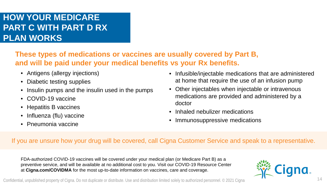#### **HOW YOUR MEDICARE PART C WITH PART D RX PLAN WORKS**

**These types of medications or vaccines are usually covered by Part B, and will be paid under your medical benefits vs your Rx benefits.**

- Antigens (allergy injections)
- Diabetic testing supplies
- Insulin pumps and the insulin used in the pumps
- COVID-19 vaccine
- Hepatitis B vaccines
- Influenza (flu) vaccine
- Pneumonia vaccine
- Infusible/injectable medications that are administered at home that require the use of an infusion pump
- Other injectables when injectable or intravenous medications are provided and administered by a doctor
- Inhaled nebulizer medications
- Immunosuppressive medications

#### If you are unsure how your drug will be covered, call Cigna Customer Service and speak to a representative.

FDA-authorized COVID-19 vaccines will be covered under your medical plan (or Medicare Part B) as a preventive service, and will be available at no additional cost to you. Visit our COVID-19 Resource Center at **Cigna.com/COVIDMA** for the most up-to-date information on vaccines, care and coverage.



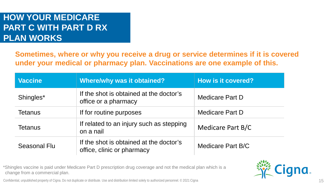#### **HOW YOUR MEDICARE PART C WITH PART D RX PLAN WORKS**

**Sometimes, where or why you receive a drug or service determines if it is covered under your medical or pharmacy plan. Vaccinations are one example of this.**

| <b>Vaccine</b> | <b>Where/why was it obtained?</b>                                     | <b>How is it covered?</b> |
|----------------|-----------------------------------------------------------------------|---------------------------|
| Shingles*      | If the shot is obtained at the doctor's<br>office or a pharmacy       | <b>Medicare Part D</b>    |
| <b>Tetanus</b> | If for routine purposes                                               | <b>Medicare Part D</b>    |
| <b>Tetanus</b> | If related to an injury such as stepping<br>on a nail                 | Medicare Part B/C         |
| Seasonal Flu   | If the shot is obtained at the doctor's<br>office, clinic or pharmacy | Medicare Part B/C         |

\*Shingles vaccine is paid under Medicare Part D prescription drug coverage and not the medical plan which is a change from a commercial plan.



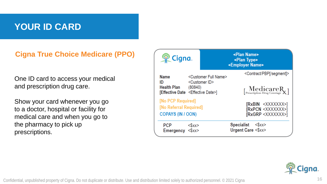### **YOUR ID CARD**

**Cigna True Choice Medicare (PPO)**

One ID card to access your medical and prescription drug care.

Show your card whenever you go to a doctor, hospital or facility for medical care and when you go to the pharmacy to pick up prescriptions.

| <b>業Cigna.</b>                                                                 |                                                                       | <plan name=""><br/><plan type=""><br/><employer name=""></employer></plan></plan>                                                                    |
|--------------------------------------------------------------------------------|-----------------------------------------------------------------------|------------------------------------------------------------------------------------------------------------------------------------------------------|
| <b>Name</b><br>ID<br>Health Plan (80840)<br>[Effective Date < Effective Date>] | <customer full="" name=""><br/><customer id=""></customer></customer> | <contract pbp[="" segment]=""><br/><math>[\![\mathbf{MedicareR}_{\mathbf{Prescription\,Drug\,Coverage}}\mathbf{R}_{\mathbf{X}}]\!]</math></contract> |
| [No PCP Required]<br>[No Referral Required]<br><b>COPAYS (IN / OON)</b>        |                                                                       | [RxBIN <xxxxxxx>]<br/>[RxPCN <xxxxxxx>]<br/>[RxGRP <xxxxxxx>]</xxxxxxx></xxxxxxx></xxxxxxx>                                                          |
| <b>PCP</b><br>Emergency <\$xx>                                                 | $<$ sxx>                                                              | Specialist<br>$<$ \$xx><br>Urgent Care <\$xx>                                                                                                        |

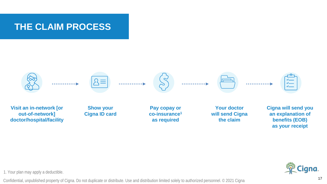### **THE CLAIM PROCESS**



1. Your plan may apply a deductible.

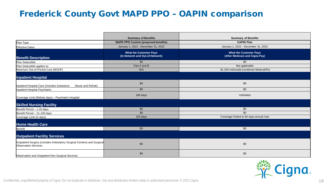#### Frederick County Govt MAPD PPO – OAPIN comparison

|                                                                                                       | <b>Summary of Benefits</b>                                       | <b>Summary of Benefits</b>                                      |
|-------------------------------------------------------------------------------------------------------|------------------------------------------------------------------|-----------------------------------------------------------------|
| Plan Type                                                                                             | <b>MAPD PPO Custom (proposed benefits)</b>                       | <b>OAPIN Plan</b>                                               |
| <b>Effective Dates</b>                                                                                | January 1, 2022 - December 31, 2022                              | January 1, 2022 - December 31, 2022                             |
| <b>Benefit Description</b>                                                                            | <b>What the Customer Pays</b><br>(In-Network and Out-of-Network) | <b>What the Customer Pays</b><br>(After Medicare and Cigna Pay) |
| Plan Deductible                                                                                       | \$0                                                              | \$0                                                             |
| Plan Deductible applies to:                                                                           | Part A and B                                                     | Not applicable                                                  |
| Maximum Out-of-Pocket Cost (MOOP)                                                                     | N/A                                                              | \$1,250 Indiviudal (combined Medical/Rx)                        |
| <b>Inpatient Hospital</b>                                                                             |                                                                  |                                                                 |
| Inpatient Hospital Care (includes Substance<br>Abuse and Rehab)                                       | \$0                                                              | \$0                                                             |
| Inpatient Hospital Psychiatric                                                                        | \$0                                                              | \$0                                                             |
| Coverage Limit (lifetime days) - Psychiatric Hospital                                                 | 190 days                                                         | Unlimited                                                       |
| <b>Skilled Nursing Facility</b>                                                                       |                                                                  |                                                                 |
| Benefit Period - 1-20 days                                                                            | \$0                                                              | \$0                                                             |
| Benefit Period - 21-100 days                                                                          | \$0                                                              | \$0                                                             |
| Coverage Limit (in days)                                                                              | 100 days                                                         | Coverage limited to 60 days annual max                          |
| <b>Home Health Care</b>                                                                               |                                                                  |                                                                 |
| Benefit                                                                                               | \$0                                                              | \$0                                                             |
| <b>Outpatient Facility Services</b>                                                                   |                                                                  |                                                                 |
| Outpatient Surgery (includes Ambulatory Surgical Centers) and Surgical<br><b>Observation Services</b> | \$0                                                              | \$0                                                             |
| Observation and Outpatient Non-Surgical Services                                                      | \$0                                                              | \$0                                                             |

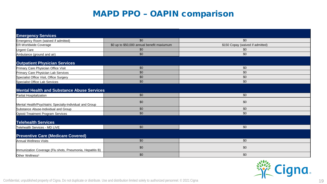| <b>Emergency Services</b>                                 |                                            |                                  |
|-----------------------------------------------------------|--------------------------------------------|----------------------------------|
| Emergency Room (waived if admitted)                       | \$0                                        | \$0                              |
| <b>ER-Worldwide Coverage</b>                              | \$0 up to \$50,000 annual benefit maxiumum | \$150 Copay (waived if admitted) |
| Urgent Care                                               | \$0                                        | \$0                              |
| Ambulance (ground and air)                                | \$0                                        | \$0                              |
|                                                           |                                            |                                  |
| <b>Outpatient Physician Services</b>                      |                                            |                                  |
| Primary Care Physician Office Visit                       | \$0                                        | \$0                              |
| Primary Care Physician Lab Services                       | \$0                                        | \$0                              |
| Specialist Office Visit, Office Surgery                   | \$0                                        | \$0                              |
| Specialist Office Lab Services                            | \$0                                        | \$0                              |
|                                                           |                                            |                                  |
| <b>Mental Health and Substance Abuse Services</b>         |                                            |                                  |
| Partial Hospitalization                                   | \$0                                        | \$0                              |
| Mental Health/Psychiatric Specialty-Individual and Group  | \$0                                        | \$0                              |
| Substance Abuse-Individual and Group                      | \$0                                        | \$0                              |
| Opioid Treatment Program Services                         | \$0                                        | \$0                              |
| <b>Telehealth Services</b>                                |                                            |                                  |
| Telehealth Services - MD LIVE                             | \$0                                        | \$0                              |
|                                                           |                                            |                                  |
| <b>Preventive Care (Medicare Covered)</b>                 |                                            |                                  |
| Annual Wellness Visits                                    | \$0                                        | \$0                              |
| Immunization Coverage (Flu shots, Pneumonia, Hepatitis B) | \$0                                        | \$0                              |
| Other Wellness <sup>1</sup>                               | \$0                                        | \$0                              |

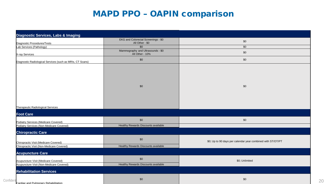|                                                           | EKG and Colorectal Screenings - \$0<br>All Other - \$0 | \$0                                                         |
|-----------------------------------------------------------|--------------------------------------------------------|-------------------------------------------------------------|
| Diagnostic Procedures/Tests<br>Lab Services (Pathology)   | \$0                                                    | \$0                                                         |
| X-ray Services                                            | Mammography and Ultrasounds - \$0<br>All Other - 10%   | \$0                                                         |
| Diagnostic Radiological Services (such as MRIs, CT Scans) | \$0                                                    | \$0                                                         |
| Therapeutic Radiological Services                         | \$0                                                    | \$0                                                         |
| <b>Foot Care</b>                                          |                                                        |                                                             |
| Podiatry Services (Medicare Covered)                      | \$0                                                    | \$0                                                         |
| Podiatry Services (Non-Medicare Covered)                  | Healthy Rewards Discounts available                    |                                                             |
| <b>Chiropractic Care</b>                                  |                                                        |                                                             |
| Chiropractic Visit (Medicare Covered)                     | \$0                                                    | \$0; Up to 90 days per calendar year combined with ST/OT/PT |
| Chiropractic Visit (Non-Medicare Covered)                 | Healthy Rewards Discounts available                    |                                                             |
| <b>Acupuncture Care</b>                                   |                                                        |                                                             |
| Acupuncture Visit (Medicare Covered)                      | \$0<br>Healthy Rewards Discounts available             | \$0; Unlimited                                              |
| Acupuncture Visit (Non-Medicare Covered)                  |                                                        |                                                             |
| <b>Rehabilitation Services</b>                            |                                                        |                                                             |
|                                                           | \$0                                                    | \$0                                                         |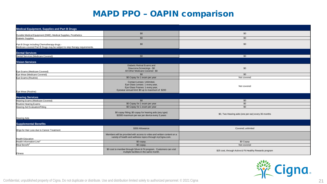| <b>Medical Equipment, Supplies and Part B Drugs</b>                                                                       |                                                                                                                                                      |                                                         |
|---------------------------------------------------------------------------------------------------------------------------|------------------------------------------------------------------------------------------------------------------------------------------------------|---------------------------------------------------------|
| Durable Medical Equipment (DME), Medical Supplies, Prosthetics                                                            | \$0                                                                                                                                                  | \$0                                                     |
| Diabetic Supplies                                                                                                         | \$0                                                                                                                                                  | \$0                                                     |
| Part B Drugs including Chemotherapy drugs -<br>Medicare-covered Part B Drugs may be subject to step therapy requirements. | \$0                                                                                                                                                  | \$0                                                     |
| <b>Dental Services</b>                                                                                                    |                                                                                                                                                      |                                                         |
| Dental Services (Medicare Covered)                                                                                        | \$0                                                                                                                                                  | \$0                                                     |
| <b>Vision Services</b>                                                                                                    |                                                                                                                                                      |                                                         |
| Eye Exams (Medicare Covered)                                                                                              | Diabetic Retinal Exams and<br>Glaucoma Screenings - \$0<br>All Other Medicare-Covered - \$0                                                          | \$0                                                     |
| Eye Wear (Medicare Covered)                                                                                               | \$0                                                                                                                                                  | \$0                                                     |
| Eye Exams (Routine)                                                                                                       | \$0 Copay for 1 exam per year                                                                                                                        | Not covered                                             |
| Eye Wear (Routine)                                                                                                        | Contact Lenses: Unlimited,<br>Eye Glass Lenses: 1 every year,<br>Eye Glass Frames: 1 every year,<br>Eyewear annual limit: \$0 up to maximum of \$200 | Not covered                                             |
| <b>Hearing Services</b>                                                                                                   |                                                                                                                                                      |                                                         |
| Hearing Exams (Medicare Covered)                                                                                          | \$0                                                                                                                                                  | \$0                                                     |
| Routine Hearing Exams                                                                                                     | \$0 Copay for 1 exam per year                                                                                                                        | \$0                                                     |
| Hearing Aid Evaluation/Fitting                                                                                            | \$0 Copay for 1 exam per year                                                                                                                        | \$0                                                     |
| <b>Hearing Aids</b>                                                                                                       | \$0 copay fitting; \$0 copay for hearing aids (any type)<br>\$2000 maximum per ear per device every 3 years                                          | \$0, Two Hearing aids (one per ear) every 36 months     |
| <b>Supplemental Benefits</b>                                                                                              |                                                                                                                                                      |                                                         |
| Wigs for Hair Loss due to Cancer Treatment                                                                                | \$350 Allowance                                                                                                                                      | Covered; unlimited                                      |
| <b>Health Education</b>                                                                                                   | Members will be provided with access to video and written content on a<br>variety of health and wellness topics through myCigna.com.                 |                                                         |
| Health Information Line <sup>2</sup>                                                                                      | \$0 copay.                                                                                                                                           | \$0 Copay                                               |
| Meal Benefit <sup>3</sup>                                                                                                 | \$0 copay.                                                                                                                                           | Not covered                                             |
| Fitness                                                                                                                   | \$0 cost to member through Silver & Fit program. Customers can visit<br>multiple facilities in the same month.                                       | \$25 cost, through Active & Fit Healthy Rewards program |

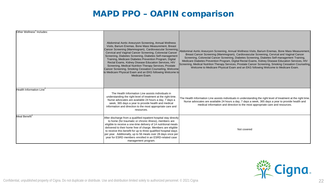| Other Wellness' Includes:            | Abdominal Aortic Aneurysm Screening, Annual Wellness<br>Visits, Barium Enemas, Bone Mass Measurement, Breast<br>Cancer Screening (Mammogram), Cardiovascular Screening,<br>Cervical and Vaginal Cancer Screening, Colorectal Cancer<br>Screening, Diabetes Screening, Diabetes Self-management<br>Training, Medicare Diabetes Prevention Program, Digital<br>Rectal Exams, Kidney Disease Education Services, HIV<br>Screening, Medical Nutrition Therapy Services, Prostate<br>Cancer Screening, Smoking Cessation Counseling, Welcome<br>to Medicare Physical Exam and an EKG following Welcome to<br>Medicare Exam. | Abdominal Aortic Aneurysm Screening, Annual Wellness Visits, Barium Enemas, Bone Mass Measurement,<br>Breast Cancer Screening (Mammogram), Cardiovascular Screening, Cervical and Vaginal Cancer<br>Screening, Colorectal Cancer Screening, Diabetes Screening, Diabetes Self-management Training,<br>Medicare Diabetes Prevention Program, Digital Rectal Exams, Kidney Disease Education Services, HIV<br>Screening, Medical Nutrition Therapy Services, Prostate Cancer Screening, Smoking Cessation Counseling,<br>Welcome to Medicare Physical Exam and an EKG following Welcome to Medicare Exam. |
|--------------------------------------|------------------------------------------------------------------------------------------------------------------------------------------------------------------------------------------------------------------------------------------------------------------------------------------------------------------------------------------------------------------------------------------------------------------------------------------------------------------------------------------------------------------------------------------------------------------------------------------------------------------------|---------------------------------------------------------------------------------------------------------------------------------------------------------------------------------------------------------------------------------------------------------------------------------------------------------------------------------------------------------------------------------------------------------------------------------------------------------------------------------------------------------------------------------------------------------------------------------------------------------|
| Health Information Line <sup>4</sup> | The Health Information Line assists individuals in<br>understanding the right level of treatment at the right time.<br>Nurse advocates are available 24 hours a day, 7 days a<br>week, 365 days a year to provide health and medical<br>information and direction to the most appropriate care and<br>resources.                                                                                                                                                                                                                                                                                                       | The Health Information Line assists individuals in understanding the right level of treatment at the right time.<br>Nurse advocates are available 24 hours a day, 7 days a week, 365 days a year to provide health and<br>medical information and direction to the most appropriate care and resources.                                                                                                                                                                                                                                                                                                 |
| Meal Benefit <sup>3</sup>            | After discharge from a qualified inpatient hospital stay directly<br>to home (for traumatic or chronic illness), members are<br>eligible to receive a one-time delivery of 14 nutritional meals<br>delivered to their home free of charge. Members are eligible<br>to receive this benefit for up to three qualified hospital stays<br>per year. Additionally, up to 56 meals over 28 days once per<br>year for ESRD members enrolled in an ESRD-related case<br>management program.                                                                                                                                   | Not covered                                                                                                                                                                                                                                                                                                                                                                                                                                                                                                                                                                                             |

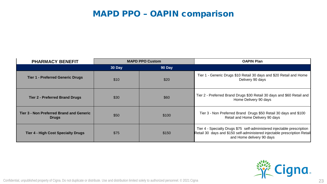| <b>PHARMACY BENEFIT</b>                                  | <b>MAPD PPO Custom</b> |        | <b>OAPIN Plan</b>                                                                                                                                                                 |
|----------------------------------------------------------|------------------------|--------|-----------------------------------------------------------------------------------------------------------------------------------------------------------------------------------|
|                                                          | 30 Day                 | 90 Day |                                                                                                                                                                                   |
| <b>Tier 1 - Preferred Generic Drugs</b>                  | \$10                   | \$20   | Tier 1 - Generic Drugs \$10 Retail 30 days and \$20 Retail and Home<br>Delivery 90 days                                                                                           |
| <b>Tier 2 - Preferred Brand Drugs</b>                    | \$30                   | \$60   | Tier 2 - Preferred Brand Drugs \$30 Retail 30 days and \$60 Retail and<br>Home Delivery 90 days                                                                                   |
| Tier 3 - Non Preferred Brand and Generic<br><b>Drugs</b> | \$50                   | \$100  | Tier 3 - Non Preferred Brand Drugs \$50 Retail 30 days and \$100<br>Retail and Home Delivery 90 days                                                                              |
| <b>Tier 4 - High Cost Specialty Drugs</b>                | \$75                   | \$150  | Tier 4 - Specialty Drugs \$75 self-administered injectable prescription<br>Retail 30 days and \$150 self-administered injectable prescription Retail<br>and Home delivery 90 days |

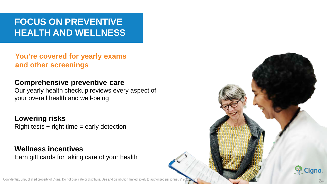### **FOCUS ON PREVENTIVE HEALTH AND WELLNESS**

**You're covered for yearly exams and other screenings**

#### **Comprehensive preventive care**

Our yearly health checkup reviews every aspect of your overall health and well-being

**Lowering risks**  $Right$  tests  $+ right$  time  $=$  early detection

**Wellness incentives** Earn gift cards for taking care of your health

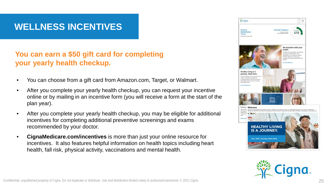### **WELLNESS INCENTIVES**

#### **You can earn a \$50 gift card for completing your yearly health checkup.**

- You can choose from a gift card from Amazon.com, Target, or Walmart.
- After you complete your yearly health checkup, you can request your incentive online or by mailing in an incentive form (you will receive a form at the start of the plan year).
- After you complete your yearly health checkup, you may be eligible for additional incentives for completing additional preventive screenings and exams recommended by your doctor.
- **CignaMedicare.com/incentives** is more than just your online resource for incentives. It also features helpful information on health topics including heart health, fall risk, physical activity, vaccinations and mental health.



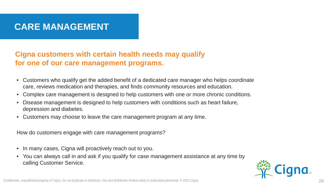### **CARE MANAGEMENT**

#### **Cigna customers with certain health needs may qualify for one of our care management programs.**

- Customers who qualify get the added benefit of a dedicated care manager who helps coordinate care, reviews medication and therapies, and finds community resources and education.
- Complex care management is designed to help customers with one or more chronic conditions.
- Disease management is designed to help customers with conditions such as heart failure, depression and diabetes.
- Customers may choose to leave the care management program at any time.

How do customers engage with care management programs?

- In many cases, Cigna will proactively reach out to you.
- You can always call in and ask if you qualify for case management assistance at any time by calling Customer Service.

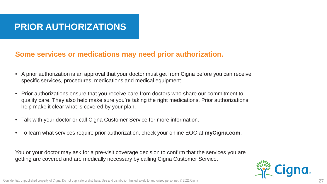### **PRIOR AUTHORIZATIONS**

#### **Some services or medications may need prior authorization.**

- A prior authorization is an approval that your doctor must get from Cigna before you can receive specific services, procedures, medications and medical equipment.
- Prior authorizations ensure that you receive care from doctors who share our commitment to quality care. They also help make sure you're taking the right medications. Prior authorizations help make it clear what is covered by your plan.
- Talk with your doctor or call Cigna Customer Service for more information.
- To learn what services require prior authorization, check your online EOC at **myCigna.com**.

You or your doctor may ask for a pre-visit coverage decision to confirm that the services you are getting are covered and are medically necessary by calling Cigna Customer Service.

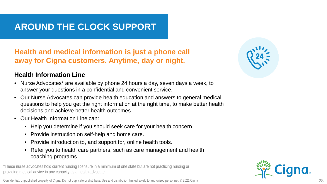### **AROUND THE CLOCK SUPPORT**

#### **Health and medical information is just a phone call away for Cigna customers. Anytime, day or night.**

#### **Health Information Line**

- Nurse Advocates\* are available by phone 24 hours a day, seven days a week, to answer your questions in a confidential and convenient service.
- Our Nurse Advocates can provide health education and answers to general medical questions to help you get the right information at the right time, to make better health decisions and achieve better health outcomes.
- Our Health Information Line can:
	- Help you determine if you should seek care for your health concern.
	- Provide instruction on self-help and home care.
	- Provide introduction to, and support for, online health tools.
	- Refer you to health care partners, such as care management and health coaching programs.

\*These nurse advocates hold current nursing licensure in a minimum of one state but are not practicing nursing or providing medical advice in any capacity as a health advocate.



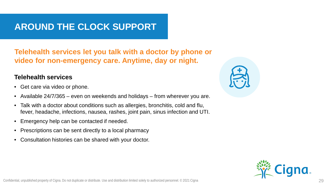### **AROUND THE CLOCK SUPPORT**

**Telehealth services let you talk with a doctor by phone or video for non-emergency care. Anytime, day or night.**

#### **Telehealth services**

- Get care via video or phone.
- Available 24/7/365 even on weekends and holidays from wherever you are.
- Talk with a doctor about conditions such as allergies, bronchitis, cold and flu, fever, headache, infections, nausea, rashes, joint pain, sinus infection and UTI.
- Emergency help can be contacted if needed.
- Prescriptions can be sent directly to a local pharmacy
- Consultation histories can be shared with your doctor.



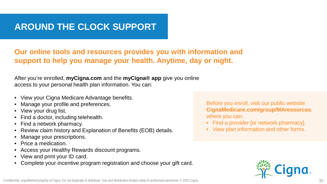### **AROUND THE CLOCK SUPPORT**

#### **Our online tools and resources provides you with information and support to help you manage your health. Anytime, day or night.**

After you're enrolled, **myCigna.com** and the **myCigna® app** give you online access to your personal health plan information. You can:

- View your Cigna Medicare Advantage benefits.
- Manage your profile and preferences.
- View your drug list.
- Find a doctor, including telehealth.
- Find a network pharmacy.
- Review claim history and Explanation of Benefits (EOB) details.
- Manage your prescriptions.
- Price a medication.
- Access your Healthy Rewards discount programs.
- View and print your ID card.
- Complete your incentive program registration and choose your gift card.

Before you enroll, visit our public website **CignaMedicare.com/group/MAresources**, where you can:

- Find a provider [or network pharmacy].
- View plan information and other forms.

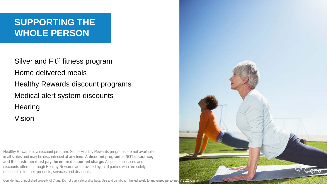## **SUPPORTING THE WHOLE PERSON**

Silver and Fit<sup>®</sup> fitness program Home delivered meals Healthy Rewards discount programs Medical alert system discounts **Hearing** Vision

Healthy Rewards is a discount program. Some Healthy Rewards programs are not available in all states and may be discontinued at any time. **A discount program is NOT insurance, and the customer must pay the entire discounted charge.** All goods, services and discounts offered through Healthy Rewards are provided by third parties who are solely responsible for their products, services and discounts.

Confidential, unpublished property of Cigna. Do not duplicate or distribute. Use and distribution limited solely to authorized personnel. © 2021 Cigna



31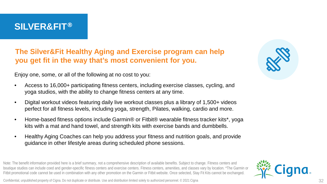#### **SILVER&FIT**®

**The Silver&Fit Healthy Aging and Exercise program can help you get fit in the way that's most convenient for you.** 

Enjoy one, some, or all of the following at no cost to you:

- Access to 16,000+ participating fitness centers, including exercise classes, cycling, and yoga studios, with the ability to change fitness centers at any time.
- Digital workout videos featuring daily live workout classes plus a library of 1,500+ videos perfect for all fitness levels, including yoga, strength, Pilates, walking, cardio and more.
- Home-based fitness options include Garmin® or Fitbit® wearable fitness tracker kits\*, yoga kits with a mat and hand towel, and strength kits with exercise bands and dumbbells.
- Healthy Aging Coaches can help you address your fitness and nutrition goals, and provide guidance in other lifestyle areas during scheduled phone sessions.

Note: The benefit information provided here is a brief summary, not a comprehensive description of available benefits. Subject to change. Fitness centers and boutique studios can include coed and gender-specific fitness centers and exercise centers. Fitness centers, amenities, and classes vary by location. \*The Garmin or Fitbit promotional code cannot be used in combination with any other promotion on the Garmin or Fitbit website. Once selected, Stay Fit Kits cannot be exchanged.





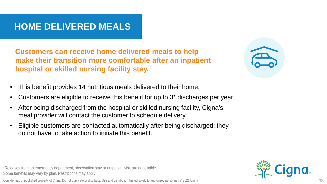### **HOME DELIVERED MEALS**

**Customers can receive home delivered meals to help make their transition more comfortable after an inpatient hospital or skilled nursing facility stay.** 

- This benefit provides 14 nutritious meals delivered to their home.
- Customers are eligible to receive this benefit for up to 3\* discharges per year.
- After being discharged from the hospital or skilled nursing facility, Cigna's meal provider will contact the customer to schedule delivery.
- Eligible customers are contacted automatically after being discharged; they do not have to take action to initiate this benefit.

\*Releases from an emergency department, observation stay or outpatient visit are not eligible. Some benefits may vary by plan. Restrictions may apply.

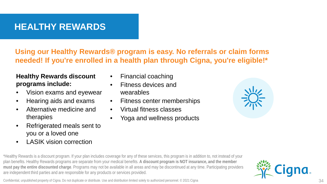### **HEALTHY REWARDS**

**Using our Healthy Rewards® program is easy. No referrals or claim forms needed! If you're enrolled in a health plan through Cigna, you're eligible!\***

**Healthy Rewards discount programs include:**

- Vision exams and eyewear
- Hearing aids and exams
- Alternative medicine and therapies
- Refrigerated meals sent to you or a loved one
- **LASIK** vision correction
- Financial coaching
- Fitness devices and wearables
- Fitness center memberships
- Virtual fitness classes
- Yoga and wellness products



\*Healthy Rewards is a discount program. If your plan includes coverage for any of these services, this program is in addition to, not instead of your plan benefits. Healthy Rewards programs are separate from your medical benefits. **A discount program is NOT insurance, and the member must pay the entire discounted charge**. Programs may not be available in all areas and may be discontinued at any time. Participating providers are independent third parties and are responsible for any products or services provided.

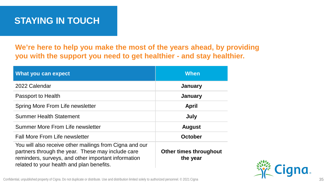### **STAYING IN TOUCH**

**We're here to help you make the most of the years ahead, by providing you with the support you need to get healthier - and stay healthier.**

| What you can expect                                                                                                                                                                                              | <b>When</b>                               |
|------------------------------------------------------------------------------------------------------------------------------------------------------------------------------------------------------------------|-------------------------------------------|
| 2022 Calendar                                                                                                                                                                                                    | January                                   |
| Passport to Health                                                                                                                                                                                               | January                                   |
| Spring More From Life newsletter                                                                                                                                                                                 | <b>April</b>                              |
| <b>Summer Health Statement</b>                                                                                                                                                                                   | July                                      |
| Summer More From Life newsletter                                                                                                                                                                                 | <b>August</b>                             |
| <b>Fall More From Life newsletter</b>                                                                                                                                                                            | <b>October</b>                            |
| You will also receive other mailings from Cigna and our<br>partners through the year. These may include care<br>reminders, surveys, and other important information<br>related to your health and plan benefits. | <b>Other times throughout</b><br>the year |

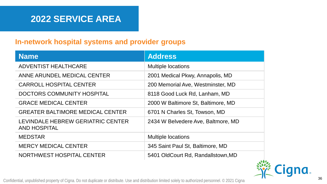#### **In-network hospital systems and provider groups**

| <b>Name</b>                                              | <b>Address</b>                     |  |
|----------------------------------------------------------|------------------------------------|--|
| ADVENTIST HEALTHCARE                                     | <b>Multiple locations</b>          |  |
| ANNE ARUNDEL MEDICAL CENTER                              | 2001 Medical Pkwy, Annapolis, MD   |  |
| <b>CARROLL HOSPITAL CENTER</b>                           | 200 Memorial Ave, Westminster, MD  |  |
| DOCTORS COMMUNITY HOSPITAL                               | 8118 Good Luck Rd, Lanham, MD      |  |
| <b>GRACE MEDICAL CENTER</b>                              | 2000 W Baltimore St, Baltimore, MD |  |
| <b>GREATER BALTIMORE MEDICAL CENTER</b>                  | 6701 N Charles St, Towson, MD      |  |
| LEVINDALE HEBREW GERIATRIC CENTER<br><b>AND HOSPITAL</b> | 2434 W Belvedere Ave, Baltmore, MD |  |
| <b>MEDSTAR</b>                                           | <b>Multiple locations</b>          |  |
| <b>MERCY MEDICAL CENTER</b>                              | 345 Saint Paul St, Baltimore, MD   |  |
| NORTHWEST HOSPITAL CENTER                                | 5401 OldCourt Rd, Randallstown, MD |  |

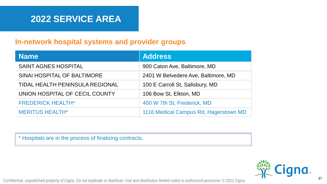#### **In-network hospital systems and provider groups**

| <b>Name</b>                            | <b>Address</b>                        |  |
|----------------------------------------|---------------------------------------|--|
| SAINT AGNES HOSPITAL                   | 900 Caton Ave, Baltimore, MD          |  |
| SINAI HOSPITAL OF BALTIMORE            | 2401 W Belvedere Ave, Baltimore, MD   |  |
| <b>TIDAL HEALTH PENINSULA REGIONAL</b> | 100 E Carroll St, Salisbury, MD       |  |
| UNION HOSPITAL OF CECIL COUNTY         | 106 Bow St, Elkton, MD                |  |
| <b>FREDERICK HEALTH*</b>               | 400 W 7th St, Frederick, MD           |  |
| <b>MERITUS HEALTH*</b>                 | 1116 Medical Campus Rd, Hagerstown MD |  |

\* Hospitals are in the process of finalizing contracts.

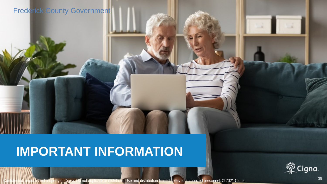#### Frederick County Government

# **IMPORTANT INFORMATION**



ished property of Cigna. Do not duplicate or distribute. Use and distribution limited solely to authorized personnel. © 202<u>1 Cigna. Do not all</u> the solely to authorized personnel. © 202<u>1 Cigna. Do not all the solely to a</u>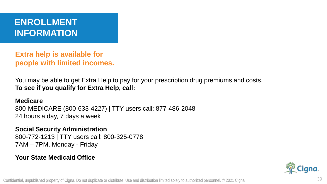### **ENROLLMENT INFORMATION**

**Extra help is available for people with limited incomes.**

You may be able to get Extra Help to pay for your prescription drug premiums and costs. **To see if you qualify for Extra Help, call:** 

**Medicare** 800-MEDICARE (800-633-4227) | TTY users call: 877-486-2048 24 hours a day, 7 days a week

**Social Security Administration** 800-772-1213 | TTY users call: 800-325-0778 7AM – 7PM, Monday - Friday

#### **Your State Medicaid Office**

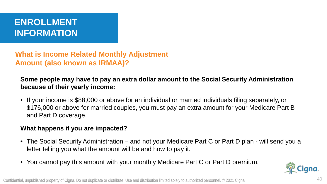### **ENROLLMENT INFORMATION**

**What is Income Related Monthly Adjustment Amount (also known as IRMAA)?**

**Some people may have to pay an extra dollar amount to the Social Security Administration because of their yearly income:**

• If your income is \$88,000 or above for an individual or married individuals filing separately, or \$176,000 or above for married couples, you must pay an extra amount for your Medicare Part B and Part D coverage.

#### **What happens if you are impacted?**

- The Social Security Administration and not your Medicare Part C or Part D plan will send you a letter telling you what the amount will be and how to pay it.
- You cannot pay this amount with your monthly Medicare Part C or Part D premium.

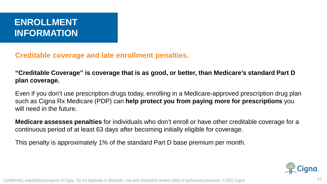### **ENROLLMENT INFORMATION**

**Creditable coverage and late enrollment penalties.**

**"Creditable Coverage" is coverage that is as good, or better, than Medicare's standard Part D plan coverage.**

Even if you don't use prescription drugs today, enrolling in a Medicare-approved prescription drug plan such as Cigna Rx Medicare (PDP) can **help protect you from paying more for prescriptions** you will need in the future.

**Medicare assesses penalties** for individuals who don't enroll or have other creditable coverage for a continuous period of at least 63 days after becoming initially eligible for coverage.

This penalty is approximately 1% of the standard Part D base premium per month.

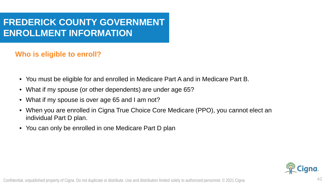### **FREDERICK COUNTY GOVERNMENT ENROLLMENT INFORMATION**

#### **Who is eligible to enroll?**

- You must be eligible for and enrolled in Medicare Part A and in Medicare Part B.
- What if my spouse (or other dependents) are under age 65?
- What if my spouse is over age 65 and I am not?
- When you are enrolled in Cigna True Choice Core Medicare (PPO), you cannot elect an individual Part D plan.
- You can only be enrolled in one Medicare Part D plan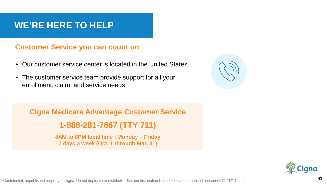### **WE'RE HERE TO HELP**

#### **Customer Service you can count on**

- Our customer service center is located in the United States.
- The customer service team provide support for all your enrollment, claim, and service needs.



**Cigna Medicare Advantage Customer Service** 

**1-888-281-7867 (TTY 711)** 

**8AM to 8PM local time | Monday – Friday 7 days a week (Oct. 1 through Mar. 31)**

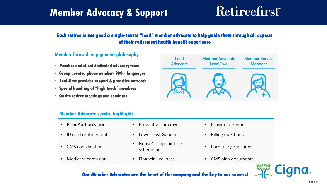## **Member Advocacy & Support**

# **Retireefirst**

#### **Each retiree is assigned a single-source "lead" member advocate to help guide them through all aspects of their retirement health benefit experience**

#### **Member focused engagement philosophy**

- **Member and client dedicated advocacy team**
- **Group devoted phone number- 300+ languages**
- **Real-time provider support & proactive outreach**
- **Special handling of "high touch" members**
- **Onsite retiree meetings and seminars**



#### **Member Advocate service highlights**

- 
- ID card replacements Lower cost Generics Billing questions
- 
- 
- Prior Authorizations Preventive initiatives Provider network
	-
- CMS coordination HouseCall appointment
	-
- 
- 
- Formulary questions
- Medicare confusion Financial wellness CMS plan documents



#### **Our Member Advocates are the heart of the company and the key to our success**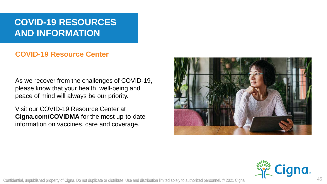### **COVID-19 RESOURCES AND INFORMATION**

#### **COVID-19 Resource Center**

As we recover from the challenges of COVID-19, please know that your health, well-being and peace of mind will always be our priority.

Visit our COVID-19 Resource Center at **Cigna.com/COVIDMA** for the most up-to-date information on vaccines, care and coverage.